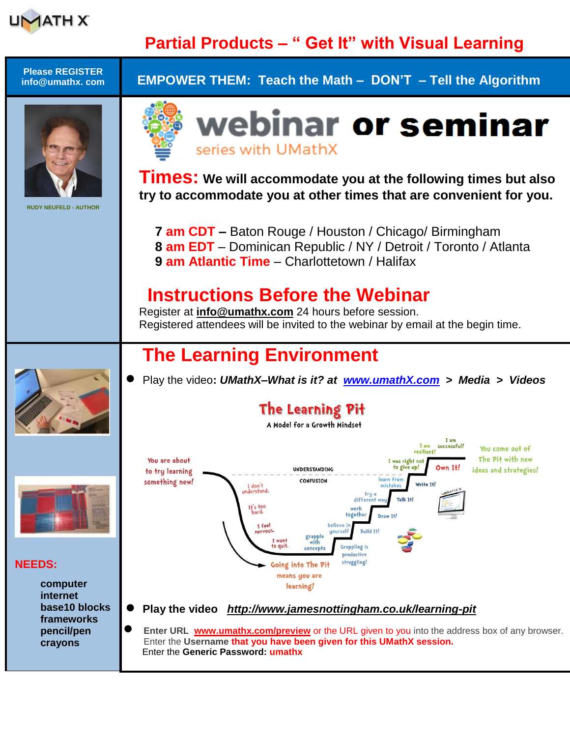

## **Partial Products – " Get It" with Visual Learning**

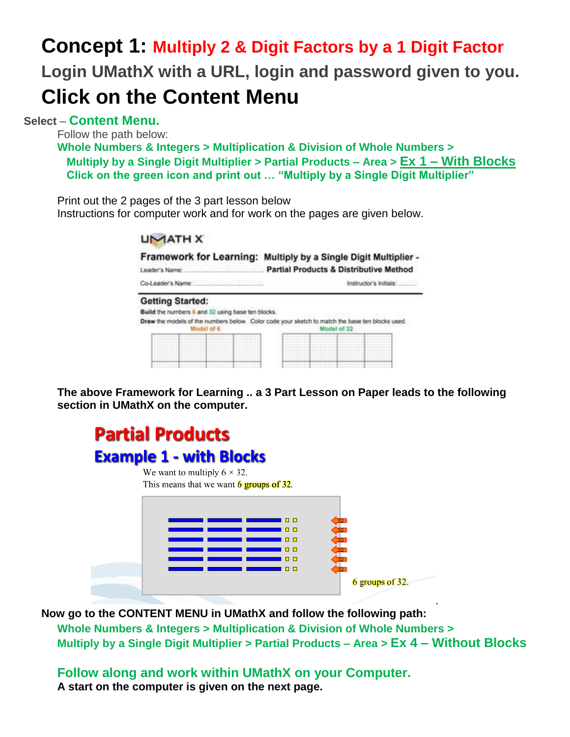## **Concept 1: Multiply 2 & Digit Factors by a 1 Digit Factor Login UMathX with a URL, login and password given to you. Click on the Content Menu**

**Select** – **Content Menu.**

Follow the path below:

**Whole Numbers & Integers > Multiplication & Division of Whole Numbers > Multiply by a Single Digit Multiplier > Partial Products – Area > Ex 1 – With Blocks Click on the green icon and print out … "Multiply by a Single Digit Multiplier"**

Print out the 2 pages of the 3 part lesson below

Instructions for computer work and for work on the pages are given below.

| Leader's Name:                                                               | Framework for Learning: Multiply by a Single Digit Multiplier -<br><b>Partial Products &amp; Distributive Method</b> |
|------------------------------------------------------------------------------|----------------------------------------------------------------------------------------------------------------------|
| <b>Getting Started:</b><br>Build the numbers 6 and 32 using base ten blocks. | Instructor's Initials:                                                                                               |
| Model of 6                                                                   | Draw the models of the numbers below. Color code your sketch to match the base ten blocks used.<br>Model of 32       |

**The above Framework for Learning .. a 3 Part Lesson on Paper leads to the following section in UMathX on the computer.**

## **Partial Products Example 1 - with Blocks** We want to multiply  $6 \times 32$ . This means that we want  $6$  groups of 32.  $\Box$  $\Box$  $\Box$ 6 groups of 32.

the contract of the contract of the contract of the contract of the contract of the contract of the contract of **Now go to the CONTENT MENU in UMathX and follow the following path: Whole Numbers & Integers > Multiplication & Division of Whole Numbers > Multiply by a Single Digit Multiplier > Partial Products – Area > Ex 4 – Without Blocks**

**Follow along and work within UMathX on your Computer. A start on the computer is given on the next page.**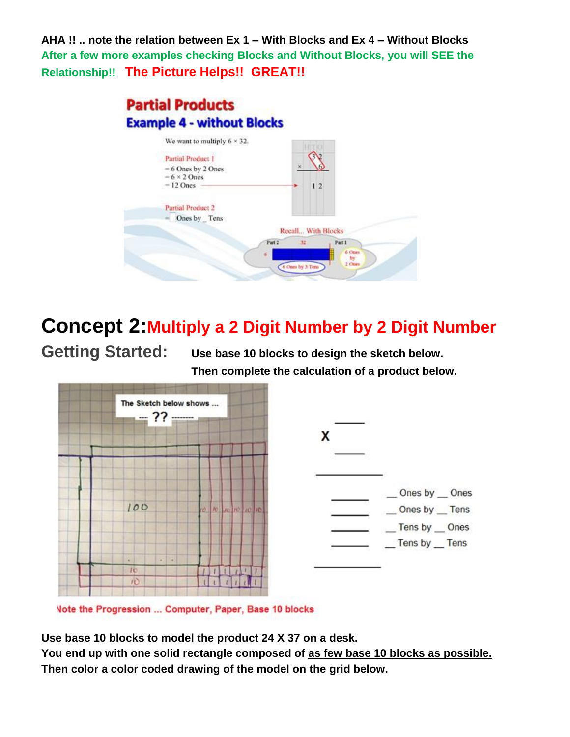**AHA !! .. note the relation between Ex 1 – With Blocks and Ex 4 – Without Blocks After a few more examples checking Blocks and Without Blocks, you will SEE the Relationship!! The Picture Helps!! GREAT!!**



## **Concept 2:Multiply a 2 Digit Number by 2 Digit Number**

**Getting Started: Use base 10 blocks to design the sketch below. Then complete the calculation of a product below.**



Vote the Progression ... Computer, Paper, Base 10 blocks

**Use base 10 blocks to model the product 24 X 37 on a desk.**

**You end up with one solid rectangle composed of as few base 10 blocks as possible. Then color a color coded drawing of the model on the grid below.**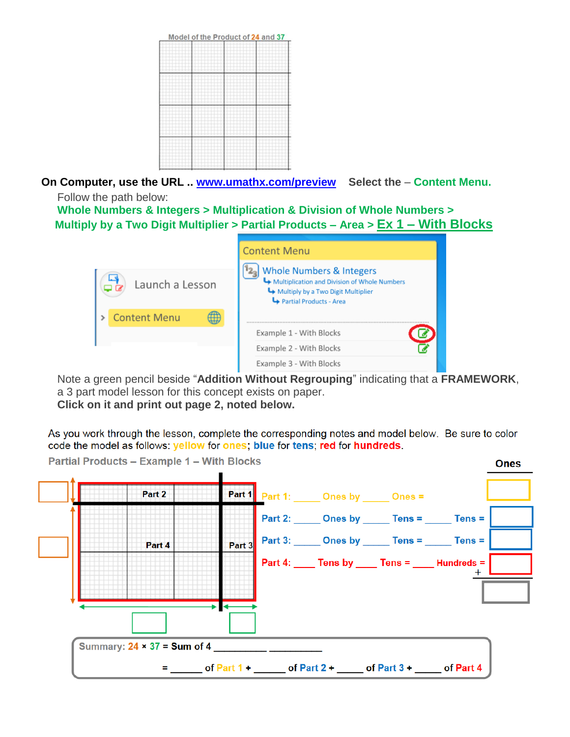

**On Computer, use the URL .. [www.umathx.com/preview](http://www.umathx.com/preview) Select the** – **Content Menu.** Follow the path below:

**Whole Numbers & Integers > Multiplication & Division of Whole Numbers > Multiply by a Two Digit Multiplier > Partial Products – Area > Ex 1 – With Blocks**

|                 | <b>Content Menu</b>                                                                                                                                  |
|-----------------|------------------------------------------------------------------------------------------------------------------------------------------------------|
| Launch a Lesson | <b>Whole Numbers &amp; Integers</b><br>Multiplication and Division of Whole Numbers<br>Multiply by a Two Digit Multiplier<br>Partial Products - Area |
| > Content Menu  |                                                                                                                                                      |
|                 | Example 1 - With Blocks                                                                                                                              |
|                 | Example 2 - With Blocks                                                                                                                              |
|                 | Example 3 - With Blocks                                                                                                                              |

Note a green pencil beside "**Addition Without Regrouping**" indicating that a **FRAMEWORK**, a 3 part model lesson for this concept exists on paper. **Click on it and print out page 2, noted below.** 

As you work through the lesson, complete the corresponding notes and model below. Be sure to color code the model as follows: yellow for ones; blue for tens; red for hundreds.